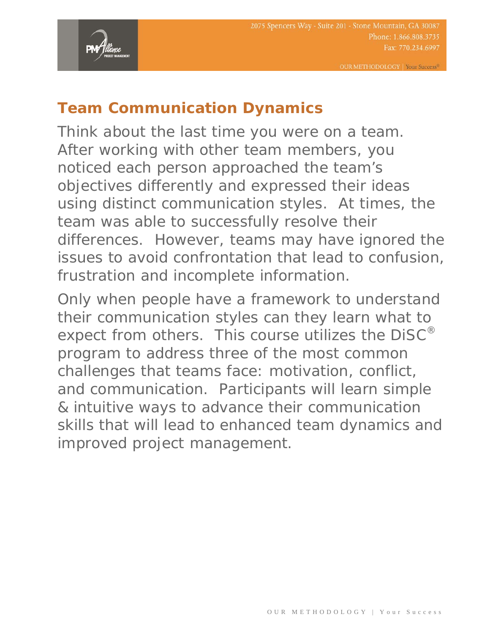

## **Team Communication Dynamics**

Think about the last time you were on a team. After working with other team members, you noticed each person approached the team's objectives differently and expressed their ideas using distinct communication styles. At times, the team was able to successfully resolve their differences. However, teams may have ignored the issues to avoid confrontation that lead to confusion, frustration and incomplete information.

Only when people have a framework to understand their communication styles can they learn what to expect from others. This course utilizes the DiSC<sup>®</sup> program to address three of the most common challenges that teams face: motivation, conflict, and communication. Participants will learn simple & intuitive ways to advance their communication skills that will lead to enhanced team dynamics and improved project management.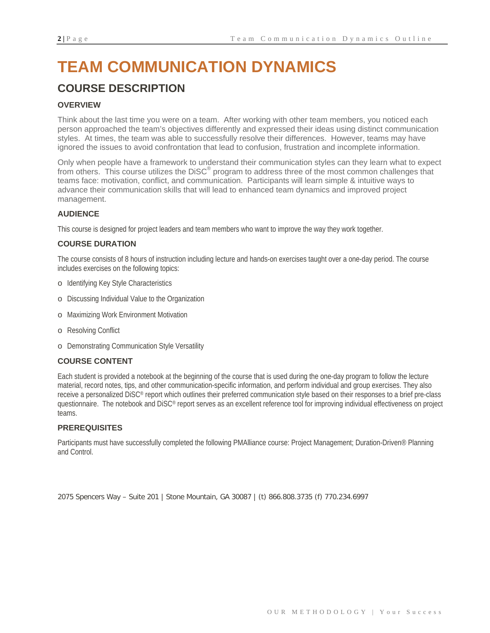# **TEAM COMMUNICATION DYNAMICS**

### **COURSE DESCRIPTION**

### **OVERVIEW**

Think about the last time you were on a team. After working with other team members, you noticed each person approached the team's objectives differently and expressed their ideas using distinct communication styles. At times, the team was able to successfully resolve their differences. However, teams may have ignored the issues to avoid confrontation that lead to confusion, frustration and incomplete information.

Only when people have a framework to understand their communication styles can they learn what to expect from others. This course utilizes the DiSC® program to address three of the most common challenges that teams face: motivation, conflict, and communication. Participants will learn simple & intuitive ways to advance their communication skills that will lead to enhanced team dynamics and improved project management.

### **AUDIENCE**

This course is designed for project leaders and team members who want to improve the way they work together.

### **COURSE DURATION**

The course consists of 8 hours of instruction including lecture and hands-on exercises taught over a one-day period. The course includes exercises on the following topics:

- o Identifying Key Style Characteristics
- o Discussing Individual Value to the Organization
- o Maximizing Work Environment Motivation
- o Resolving Conflict
- o Demonstrating Communication Style Versatility

### **COURSE CONTENT**

Each student is provided a notebook at the beginning of the course that is used during the one-day program to follow the lecture material, record notes, tips, and other communication-specific information, and perform individual and group exercises. They also receive a personalized DiSC® report which outlines their preferred communication style based on their responses to a brief pre-class questionnaire. The notebook and DiSC® report serves as an excellent reference tool for improving individual effectiveness on project teams.

#### **PREREQUISITES**

Participants must have successfully completed the following PMAlliance course: Project Management; Duration-Driven® Planning and Control.

2075 Spencers Way – Suite 201 | Stone Mountain, GA 30087 | (t) 866.808.3735 (f) 770.234.6997